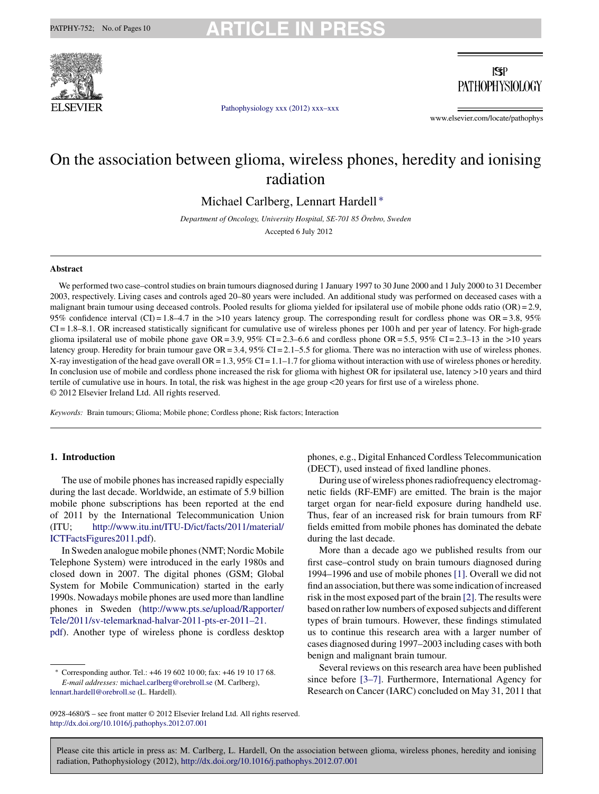

 $ISP$ **PATHOPHYSIOLOGY** 

[Pathophysiology](dx.doi.org/10.1016/j.pathophys.2012.07.001) xxx (2012) xxx–xxx

www.elsevier.com/locate/pathophys

# On the association between glioma, wireless phones, heredity and ionising radiation

Michael Carlberg, Lennart Hardell ∗

*Department of Oncology, University Hospital, SE-701 85 Örebro, Sweden* Accepted 6 July 2012

#### **Abstract**

We performed two case–control studies on brain tumours diagnosed during 1 January 1997 to 30 June 2000 and 1 July 2000 to 31 December 2003, respectively. Living cases and controls aged 20–80 years were included. An additional study was performed on deceased cases with a malignant brain tumour using deceased controls. Pooled results for glioma yielded for ipsilateral use of mobile phone odds ratio (OR) = 2.9, 95% confidence interval (CI) = 1.8–4.7 in the >10 years latency group. The corresponding result for cordless phone was  $OR = 3.8$ , 95%  $CI = 1.8-8.1$ . OR increased statistically significant for cumulative use of wireless phones per 100 h and per year of latency. For high-grade glioma ipsilateral use of mobile phone gave OR= 3.9, 95% CI = 2.3–6.6 and cordless phone OR= 5.5, 95% CI = 2.3–13 in the >10 years latency group. Heredity for brain tumour gave  $OR = 3.4$ , 95%  $CI = 2.1 - 5.5$  for glioma. There was no interaction with use of wireless phones. X-ray investigation of the head gave overall OR =  $1.3$ , 95% CI =  $1.1-1.7$  for glioma without interaction with use of wireless phones or heredity. In conclusion use of mobile and cordless phone increased the risk for glioma with highest OR for ipsilateral use, latency >10 years and third tertile of cumulative use in hours. In total, the risk was highest in the age group <20 years for first use of a wireless phone. © 2012 Elsevier Ireland Ltd. All rights reserved.

*Keywords:* Brain tumours; Glioma; Mobile phone; Cordless phone; Risk factors; Interaction

## **1. Introduction**

The use of mobile phones has increased rapidly especially during the last decade. Worldwide, an estimate of 5.9 billion mobile phone subscriptions has been reported at the end of 2011 by the International Telecommunication Union (ITU; [http://www.itu.int/ITU-D/ict/facts/2011/material/](http://www.itu.int/ITU-D/ict/facts/2011/material/ICTFactsFigures2011.pdf) [ICTFactsFigures2011.pdf](http://www.itu.int/ITU-D/ict/facts/2011/material/ICTFactsFigures2011.pdf)).

In Sweden analogue mobile phones(NMT; Nordic Mobile Telephone System) were introduced in the early 1980s and closed down in 2007. The digital phones (GSM; Global System for Mobile Communication) started in the early 1990s. Nowadays mobile phones are used more than landline phones in Sweden ([http://www.pts.se/upload/Rapporter/](http://www.pts.se/upload/Rapporter/Tele/2011/sv-telemarknad-halvar-2011-pts-er-2011-21.pdf) [Tele/2011/sv-telemarknad-halvar-2011-pts-er-2011–21.](http://www.pts.se/upload/Rapporter/Tele/2011/sv-telemarknad-halvar-2011-pts-er-2011-21.pdf) [pdf\)](http://www.pts.se/upload/Rapporter/Tele/2011/sv-telemarknad-halvar-2011-pts-er-2011-21.pdf). Another type of wireless phone is cordless desktop

phones, e.g., Digital Enhanced Cordless Telecommunication (DECT), used instead of fixed landline phones.

During use of wireless phones radiofrequency electromagnetic fields (RF-EMF) are emitted. The brain is the major target organ for near-field exposure during handheld use. Thus, fear of an increased risk for brain tumours from RF fields emitted from mobile phones has dominated the debate during the last decade.

More than a decade ago we published results from our first case–control study on brain tumours diagnosed during 1994–1996 and use of mobile phones [\[1\].](#page-8-0) Overall we did not find an association, but there was some indication of increased risk in the most exposed part of the brain [\[2\].](#page-8-0) The results were based on rather low numbers of exposed subjects and different types of brain tumours. However, these findings stimulated us to continue this research area with a larger number of cases diagnosed during 1997–2003 including cases with both benign and malignant brain tumour.

Several reviews on this research area have been published since before [\[3–7\].](#page-8-0) Furthermore, International Agency for Research on Cancer (IARC) concluded on May 31, 2011 that

<sup>∗</sup> Corresponding author. Tel.: +46 19 602 10 00; fax: +46 19 10 17 68. *E-mail addresses:* [michael.carlberg@orebroll.se](mailto:michael.carlberg@orebroll.se) (M. Carlberg), [lennart.hardell@orebroll.se](mailto:lennart.hardell@orebroll.se) (L. Hardell).

<sup>0928-4680/\$</sup> – see front matter © 2012 Elsevier Ireland Ltd. All rights reserved. [http://dx.doi.org/10.1016/j.pathophys.2012.07.001](dx.doi.org/10.1016/j.pathophys.2012.07.001)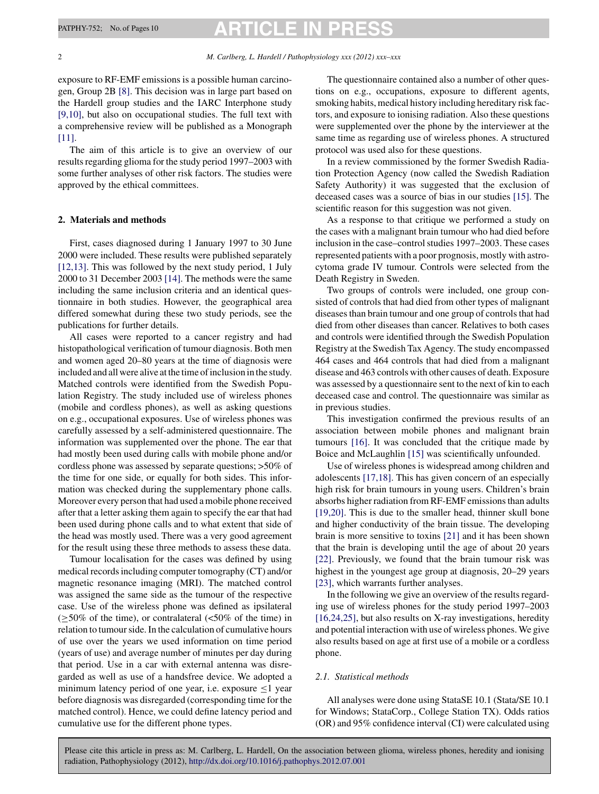exposure to RF-EMF emissions is a possible human carcinogen, Group 2B [\[8\].](#page-9-0) This decision was in large part based on the Hardell group studies and the IARC Interphone study [\[9,10\],](#page-9-0) but also on occupational studies. The full text with a comprehensive review will be published as a Monograph [\[11\].](#page-9-0)

The aim of this article is to give an overview of our results regarding glioma for the study period 1997–2003 with some further analyses of other risk factors. The studies were approved by the ethical committees.

### **2. Materials and methods**

First, cases diagnosed during 1 January 1997 to 30 June 2000 were included. These results were published separately [\[12,13\].](#page-9-0) This was followed by the next study period, 1 July 2000 to 31 December 2003 [\[14\].](#page-9-0) The methods were the same including the same inclusion criteria and an identical questionnaire in both studies. However, the geographical area differed somewhat during these two study periods, see the publications for further details.

All cases were reported to a cancer registry and had histopathological verification of tumour diagnosis. Both men and women aged 20–80 years at the time of diagnosis were included and all were alive at the time of inclusion in the study. Matched controls were identified from the Swedish Population Registry. The study included use of wireless phones (mobile and cordless phones), as well as asking questions on e.g., occupational exposures. Use of wireless phones was carefully assessed by a self-administered questionnaire. The information was supplemented over the phone. The ear that had mostly been used during calls with mobile phone and/or cordless phone was assessed by separate questions; >50% of the time for one side, or equally for both sides. This information was checked during the supplementary phone calls. Moreover every person that had used a mobile phone received after that a letter asking them again to specify the ear that had been used during phone calls and to what extent that side of the head was mostly used. There was a very good agreement for the result using these three methods to assess these data.

Tumour localisation for the cases was defined by using medical recordsincluding computer tomography (CT) and/or magnetic resonance imaging (MRI). The matched control was assigned the same side as the tumour of the respective case. Use of the wireless phone was defined as ipsilateral  $(\geq 50\% \text{ of the time})$ , or contralateral  $(\leq 50\% \text{ of the time})$  in relation to tumour side. In the calculation of cumulative hours of use over the years we used information on time period (years of use) and average number of minutes per day during that period. Use in a car with external antenna was disregarded as well as use of a handsfree device. We adopted a minimum latency period of one year, i.e. exposure ≤1 year before diagnosis was disregarded (corresponding time for the matched control). Hence, we could define latency period and cumulative use for the different phone types.

The questionnaire contained also a number of other questions on e.g., occupations, exposure to different agents, smoking habits, medical history including hereditary risk factors, and exposure to ionising radiation. Also these questions were supplemented over the phone by the interviewer at the same time as regarding use of wireless phones. A structured protocol was used also for these questions.

In a review commissioned by the former Swedish Radiation Protection Agency (now called the Swedish Radiation Safety Authority) it was suggested that the exclusion of deceased cases was a source of bias in our studies [\[15\].](#page-9-0) The scientific reason for this suggestion was not given.

As a response to that critique we performed a study on the cases with a malignant brain tumour who had died before inclusion in the case–control studies 1997–2003. These cases represented patients with a poor prognosis, mostly with astrocytoma grade IV tumour. Controls were selected from the Death Registry in Sweden.

Two groups of controls were included, one group consisted of controls that had died from other types of malignant diseasesthan brain tumour and one group of controlsthat had died from other diseases than cancer. Relatives to both cases and controls were identified through the Swedish Population Registry at the Swedish Tax Agency. The study encompassed 464 cases and 464 controls that had died from a malignant disease and 463 controls with other causes of death. Exposure was assessed by a questionnaire sent to the next of kin to each deceased case and control. The questionnaire was similar as in previous studies.

This investigation confirmed the previous results of an association between mobile phones and malignant brain tumours [\[16\].](#page-9-0) It was concluded that the critique made by Boice and McLaughlin [\[15\]](#page-9-0) was scientifically unfounded.

Use of wireless phones is widespread among children and adolescents [\[17,18\].](#page-9-0) This has given concern of an especially high risk for brain tumours in young users. Children's brain absorbs higher radiation from RF-EMF emissionsthan adults [\[19,20\].](#page-9-0) This is due to the smaller head, thinner skull bone and higher conductivity of the brain tissue. The developing brain is more sensitive to toxins [\[21\]](#page-9-0) and it has been shown that the brain is developing until the age of about 20 years [\[22\].](#page-9-0) Previously, we found that the brain tumour risk was highest in the youngest age group at diagnosis, 20–29 years [\[23\],](#page-9-0) which warrants further analyses.

In the following we give an overview of the results regarding use of wireless phones for the study period 1997–2003 [\[16,24,25\],](#page-9-0) but also results on X-ray investigations, heredity and potential interaction with use of wireless phones. We give also results based on age at first use of a mobile or a cordless phone.

# *2.1. Statistical methods*

All analyses were done using StataSE 10.1 (Stata/SE 10.1 for Windows; StataCorp., College Station TX). Odds ratios (OR) and 95% confidence interval (CI) were calculated using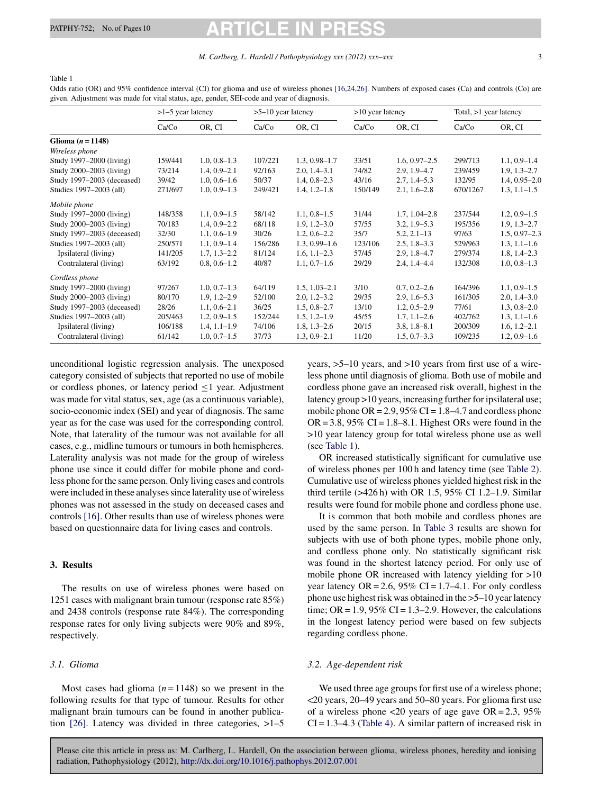### Table 1

>1–5 year latency >5–10 year latency >10 year latency Total, >1 year latency Ca/Co OR, CI Ca/Co OR, CI Ca/Co OR, CI Ca/Co OR, CI **Glioma (***n* **= 1148)** *Wireless phone* Study 1997–2000 (living) 159/441 1.0, 0.8–1.3 107/221 1.3, 0.98–1.7 33/51 1.6, 0.97–2.5 299/713 1.1, 0.9–1.4 Study 2000–2003 (living) 73/214 1.4, 0.9–2.1 92/163 2.0, 1.4–3.1 74/82 2.9, 1.9–4.7 239/459 1.9, 1.3–2.7 Study 1997–2003 (deceased) 39/42 1.0, 0.6–1.6 50/37 1.4, 0.8–2.3 43/16 2.7, 1.4–5.3 132/95 1.4, 0.95–2.0 Studies 1997–2003 (all) 271/697 1.0, 0.9–1.3 249/421 1.4, 1.2–1.8 150/149 2.1, 1.6–2.8 670/1267 1.3, 1.1–1.5 *Mobile phone* Study 1997–2000 (living) 148/358 1.1, 0.9–1.5 58/142 1.1, 0.8–1.5 31/44 1.7, 1.04–2.8 237/544 1.2, 0.9–1.5 Study 2000–2003 (living) 70/183 1.4, 0.9–2.2 68/118 1.9, 1.2–3.0 57/55 3.2, 1.9–5.3 195/356 1.9, 1.3–2.7 Study 1997–2003 (deceased) 32/30 1.1, 0.6–1.9 30/26 1.2, 0.6–2.2 35/7 5.2, 2.1–13 97/63 1.5, 0.97–2.3 Studies 1997–2003 (all) 250/571 1.1, 0.9–1.4 156/286 1.3, 0.99–1.6 123/106 2.5, 1.8–3.3 529/963 1.3, 1.1–1.6 Ipsilateral (living) 141/205 1.7, 1.3–2.2 81/124 1.6, 1.1–2.3 57/45 2.9, 1.8–4.7 279/374 1.8, 1.4–2.3 Contralateral (living) 63/192 0.8, 0.6–1.2 40/87 1.1, 0.7–1.6 29/29 2.4, 1.4–4.4 132/308 1.0, 0.8–1.3 *Cordless phone* Study 1997–2000 (living) 97/267 1.0, 0.7–1.3 64/119 1.5, 1.03–2.1 3/10 0.7, 0.2–2.6 164/396 1.1, 0.9–1.5 Study 2000–2003 (living) 80/170 1.9, 1.2–2.9 52/100 2.0, 1.2–3.2 29/35 2.9, 1.6–5.3 161/305 2.0, 1.4–3.0 Study 1997–2003 (deceased) 28/26 1.1, 0.6–2.1 36/25 1.5, 0.8–2.7 13/10 1.2, 0.5–2.9 77/61 1.3, 0.8–2.0 Studies 1997–2003 (all) 205/463 1.2, 0.9–1.5 152/244 1.5, 1.2–1.9 45/55 1.7, 1.1–2.6 402/762 1.3, 1.1–1.6 Ipsilateral (living) 106/188 1.4, 1.1–1.9 74/106 1.8, 1.3–2.6 20/15 3.8, 1.8–8.1 200/309 1.6, 1.2–2.1

Contralateral (living) 61/142 1.0, 0.7–1.5 37/73 1.3, 0.9–2.1 11/20 1.5, 0.7–3.3 109/235 1.2, 0.9–1.6

Odds ratio (OR) and 95% confidence interval (CI) for glioma and use of wireless phones [\[16,24,26\].](#page-9-0) Numbers of exposed cases (Ca) and controls (Co) are given. Adjustment was made for vital status, age, gender, SEI-code and year of diagnosis.

unconditional logistic regression analysis. The unexposed category consisted of subjects that reported no use of mobile or cordless phones, or latency period  $\leq$ 1 year. Adjustment was made for vital status, sex, age (as a continuous variable), socio-economic index (SEI) and year of diagnosis. The same year as for the case was used for the corresponding control. Note, that laterality of the tumour was not available for all cases, e.g., midline tumours or tumours in both hemispheres. Laterality analysis was not made for the group of wireless phone use since it could differ for mobile phone and cordless phone forthe same person. Only living cases and controls were included in these analyses since laterality use of wireless phones was not assessed in the study on deceased cases and controls [\[16\].](#page-9-0) Other results than use of wireless phones were based on questionnaire data for living cases and controls.

## **3. Results**

The results on use of wireless phones were based on 1251 cases with malignant brain tumour (response rate 85%) and 2438 controls (response rate 84%). The corresponding response rates for only living subjects were 90% and 89%, respectively.

### *3.1. Glioma*

Most cases had glioma  $(n=1148)$  so we present in the following results for that type of tumour. Results for other malignant brain tumours can be found in another publication [\[26\].](#page-9-0) Latency was divided in three categories, >1–5 years, >5–10 years, and >10 years from first use of a wireless phone until diagnosis of glioma. Both use of mobile and cordless phone gave an increased risk overall, highest in the latency group >10 years, increasing further for ipsilateral use; mobile phone  $OR = 2.9$ , 95%  $CI = 1.8-4.7$  and cordless phone  $OR = 3.8$ , 95% CI = 1.8–8.1. Highest ORs were found in the >10 year latency group for total wireless phone use as well (see Table 1).

OR increased statistically significant for cumulative use of wireless phones per 100 h and latency time (see [Table](#page-3-0) 2). Cumulative use of wireless phones yielded highest risk in the third tertile (>426 h) with OR 1.5, 95% CI 1.2–1.9. Similar results were found for mobile phone and cordless phone use.

It is common that both mobile and cordless phones are used by the same person. In [Table](#page-3-0) 3 results are shown for subjects with use of both phone types, mobile phone only, and cordless phone only. No statistically significant risk was found in the shortest latency period. For only use of mobile phone OR increased with latency yielding for >10 year latency  $OR = 2.6$ , 95%  $CI = 1.7–4.1$ . For only cordless phone use highest risk was obtained in the >5–10 year latency time;  $OR = 1.9$ , 95%  $CI = 1.3 - 2.9$ . However, the calculations in the longest latency period were based on few subjects regarding cordless phone.

### *3.2. Age-dependent risk*

We used three age groups for first use of a wireless phone; <20 years, 20–49 years and 50–80 years. For glioma first use of a wireless phone  $\langle 20 \rangle$  years of age gave OR = 2.3, 95%  $CI = 1.3-4.3$  [\(Table](#page-3-0) 4). A similar pattern of increased risk in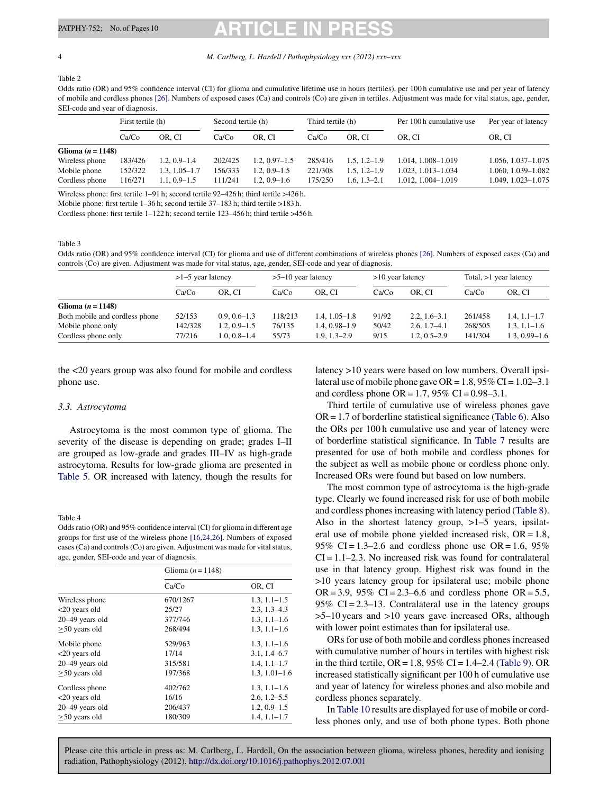#### <span id="page-3-0"></span>4 *M. Carlberg, L. Hardell / Pathophysiology xxx (2012) xxx–xxx*

Table 2

Odds ratio (OR) and 95% confidence interval (CI) for glioma and cumulative lifetime use in hours (tertiles), per 100 h cumulative use and per year of latency of mobile and cordless phones [\[26\].](#page-9-0) Numbers of exposed cases (Ca) and controls (Co) are given in tertiles. Adjustment was made for vital status, age, gender, SEI-code and year of diagnosis.

|                   | First tertile (h) |                   |                 | Second tertile (h) |         | Third tertile (h) | Per 100 h cumulative use | Per year of latency |  |
|-------------------|-------------------|-------------------|-----------------|--------------------|---------|-------------------|--------------------------|---------------------|--|
|                   | Ca/Co             | OR. CI            | Ca/Co<br>OR. CI |                    | Ca/Co   | OR. CI            | OR, CI                   | OR, CI              |  |
| Glioma $(n=1148)$ |                   |                   |                 |                    |         |                   |                          |                     |  |
| Wireless phone    | 183/426           | $1.2, 0.9 - 1.4$  | 202/425         | $1.2, 0.97 - 1.5$  | 285/416 | $1.5, 1.2 - 1.9$  | 1.014, 1.008-1.019       | 1.056, 1.037-1.075  |  |
| Mobile phone      | 152/322           | $1.3, 1.05 - 1.7$ | 156/333         | $1.2, 0.9 - 1.5$   | 221/308 | $1.5, 1.2 - 1.9$  | 1.023, 1.013-1.034       | 1.060, 1.039-1.082  |  |
| Cordless phone    | 116/271           | $1.1, 0.9 - 1.5$  | 111/241         | $1.2, 0.9 - 1.6$   | 175/250 | $1.6, 1.3 - 2.1$  | 1.012, 1.004-1.019       | 1.049, 1.023-1.075  |  |

Wireless phone: first tertile 1–91 h; second tertile 92–426 h; third tertile >426 h.

Mobile phone: first tertile 1–36 h; second tertile 37–183 h; third tertile >183 h.

Cordless phone: first tertile 1–122 h; second tertile 123–456 h; third tertile >456 h.

Table 3

Odds ratio (OR) and 95% confidence interval (CI) for glioma and use of different combinations of wireless phones [\[26\].](#page-9-0) Numbers of exposed cases (Ca) and controls (Co) are given. Adjustment was made for vital status, age, gender, SEI-code and year of diagnosis.

|                                | $>1-5$ year latency       |                  | $>5-10$ year latency      |                   | $>10$ year latency |                  | Total, $>1$ year latency |                   |  |
|--------------------------------|---------------------------|------------------|---------------------------|-------------------|--------------------|------------------|--------------------------|-------------------|--|
|                                | Ca/Co                     | OR. CI           | Ca/Co                     | OR. CI            | Ca/Co              | OR. CI           | Ca/Co                    | OR, CI            |  |
| Glioma $(n=1148)$              |                           |                  |                           |                   |                    |                  |                          |                   |  |
| Both mobile and cordless phone | 52/153                    | $0.9, 0.6 - 1.3$ | 118/213                   | $1.4, 1.05 - 1.8$ | 91/92              | $2.2, 1.6 - 3.1$ | 261/458                  | $1.4, 1.1 - 1.7$  |  |
| Mobile phone only              | 142/328                   | $1.2, 0.9 - 1.5$ | 76/135                    | $1.4, 0.98 - 1.9$ | 50/42              | $2.6, 1.7 - 4.1$ | 268/505                  | $1.3, 1.1 - 1.6$  |  |
| Cordless phone only            | 77/216<br>$1.0.0.8 - 1.4$ |                  | $1.9, 1.3 - 2.9$<br>55/73 |                   | 9/15               | $1.2, 0.5 - 2.9$ | 141/304                  | $1.3, 0.99 - 1.6$ |  |

the <20 years group was also found for mobile and cordless phone use.

### *3.3. Astrocytoma*

Astrocytoma is the most common type of glioma. The severity of the disease is depending on grade; grades I–II are grouped as low-grade and grades III–IV as high-grade astrocytoma. Results for low-grade glioma are presented in [Table](#page-4-0) 5. OR increased with latency, though the results for

Table 4

Oddsratio (OR) and 95% confidence interval (CI) for glioma in different age groups for first use of the wireless phone [\[16,24,26\].](#page-9-0) Numbers of exposed  $cases(Ca)$  and controls  $(Co)$  are given. Adjustment was made for vital status, age, gender, SEI-code and year of diagnosis.

|                     | Glioma $(n=1148)$ |                   |
|---------------------|-------------------|-------------------|
|                     | Ca/Co             | OR, CI            |
| Wireless phone      | 670/1267          | $1.3, 1.1 - 1.5$  |
| $<$ 20 years old    | 25/27             | $2.3, 1.3 - 4.3$  |
| $20-49$ years old   | 377/746           | $1.3, 1.1 - 1.6$  |
| $>50$ years old     | 268/494           | $1.3, 1.1 - 1.6$  |
| Mobile phone        | 529/963           | $1.3, 1.1 - 1.6$  |
| $<$ 20 years old    | 17/14             | $3.1, 1.4 - 6.7$  |
| 20-49 years old     | 315/581           | $1.4, 1.1 - 1.7$  |
| $>50$ years old     | 197/368           | $1.3, 1.01 - 1.6$ |
| Cordless phone      | 402/762           | $1.3, 1.1 - 1.6$  |
| $<$ 20 years old    | 16/16             | $2.6, 1.2 - 5.5$  |
| 20-49 years old     | 206/437           | $1.2, 0.9 - 1.5$  |
| $\geq$ 50 years old | 180/309           | $1.4, 1.1 - 1.7$  |

latency >10 years were based on low numbers. Overall ipsilateral use of mobile phone gave  $OR = 1.8$ , 95% CI = 1.02–3.1 and cordless phone  $OR = 1.7$ , 95%  $CI = 0.98 - 3.1$ .

Third tertile of cumulative use of wireless phones gave  $OR = 1.7$  of borderline statistical significance [\(Table](#page-4-0) 6). Also the ORs per 100 h cumulative use and year of latency were of borderline statistical significance. In [Table](#page-4-0) 7 results are presented for use of both mobile and cordless phones for the subject as well as mobile phone or cordless phone only. Increased ORs were found but based on low numbers.

The most common type of astrocytoma is the high-grade type. Clearly we found increased risk for use of both mobile and cordless phones increasing with latency period [\(Table](#page-5-0) 8). Also in the shortest latency group, >1–5 years, ipsilateral use of mobile phone yielded increased risk,  $OR = 1.8$ , 95% CI = 1.3–2.6 and cordless phone use OR = 1.6, 95%  $CI = 1.1 - 2.3$ . No increased risk was found for contralateral use in that latency group. Highest risk was found in the >10 years latency group for ipsilateral use; mobile phone OR = 3.9, 95% CI = 2.3–6.6 and cordless phone OR = 5.5, 95%  $CI = 2.3-13$ . Contralateral use in the latency groups >5–10 years and >10 years gave increased ORs, although with lower point estimates than for ipsilateral use.

ORs for use of both mobile and cordless phones increased with cumulative number of hours in tertiles with highest risk in the third tertile,  $OR = 1.8$ ,  $95\%$  CI = 1.4–2.4 ([Table](#page-5-0) 9). OR increased statistically significant per 100 h of cumulative use and year of latency for wireless phones and also mobile and cordless phones separately.

In [Table](#page-5-0) 10 results are displayed for use of mobile or cordless phones only, and use of both phone types. Both phone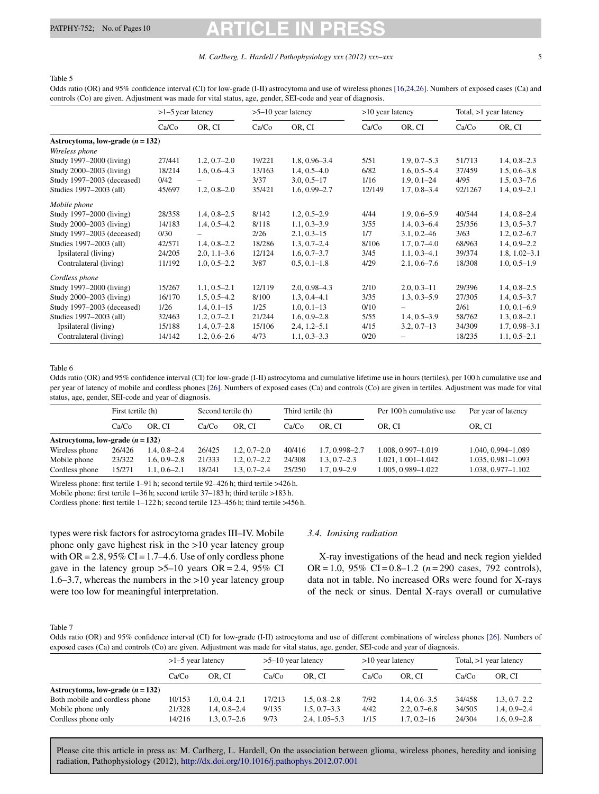# <span id="page-4-0"></span>Table 5

Odds ratio (OR) and 95% confidence interval (CI) for low-grade (I-II) astrocytoma and use of wireless phones [\[16,24,26\].](#page-9-0) Numbers of exposed cases (Ca) and controls (Co) are given. Adjustment was made for vital status, age, gender, SEI-code and year of diagnosis.

|                                    | $>1-5$ year latency |                  |        | $>5-10$ year latency | $>10$ year latency |                  | Total, $>1$ year latency |                   |
|------------------------------------|---------------------|------------------|--------|----------------------|--------------------|------------------|--------------------------|-------------------|
|                                    | Ca/Co               | OR, CI           | Ca/Co  | OR, CI               | Ca/Co              | OR, CI           | Ca/Co                    | OR, CI            |
| Astrocytoma, low-grade $(n = 132)$ |                     |                  |        |                      |                    |                  |                          |                   |
| Wireless phone                     |                     |                  |        |                      |                    |                  |                          |                   |
| Study 1997–2000 (living)           | 27/441              | $1.2, 0.7 - 2.0$ | 19/221 | $1.8, 0.96 - 3.4$    | 5/51               | $1.9, 0.7 - 5.3$ | 51/713                   | $1.4, 0.8 - 2.3$  |
| Study 2000–2003 (living)           | 18/214              | $1.6, 0.6 - 4.3$ | 13/163 | $1.4, 0.5 - 4.0$     | 6/82               | $1.6, 0.5 - 5.4$ | 37/459                   | $1.5, 0.6 - 3.8$  |
| Study 1997–2003 (deceased)         | 0/42                |                  | 3/37   | $3.0, 0.5 - 17$      | 1/16               | $1.9, 0.1 - 24$  | 4/95                     | $1.5, 0.3 - 7.6$  |
| Studies 1997–2003 (all)            | 45/697              | $1.2, 0.8 - 2.0$ | 35/421 | $1.6, 0.99 - 2.7$    | 12/149             | $1.7, 0.8 - 3.4$ | 92/1267                  | $1.4, 0.9 - 2.1$  |
| Mobile phone                       |                     |                  |        |                      |                    |                  |                          |                   |
| Study 1997–2000 (living)           | 28/358              | $1.4, 0.8 - 2.5$ | 8/142  | $1.2, 0.5 - 2.9$     | 4/44               | $1.9, 0.6 - 5.9$ | 40/544                   | $1.4, 0.8 - 2.4$  |
| Study 2000–2003 (living)           | 14/183              | $1.4, 0.5 - 4.2$ | 8/118  | $1.1, 0.3 - 3.9$     | 3/55               | $1.4, 0.3 - 6.4$ | 25/356                   | $1.3, 0.5 - 3.7$  |
| Study 1997–2003 (deceased)         | 0/30                |                  | 2/26   | $2.1, 0.3 - 15$      | 1/7                | $3.1, 0.2 - 46$  | 3/63                     | $1.2, 0.2 - 6.7$  |
| Studies 1997–2003 (all)            | 42/571              | $1.4, 0.8 - 2.2$ | 18/286 | $1.3, 0.7 - 2.4$     | 8/106              | $1.7, 0.7 - 4.0$ | 68/963                   | $1.4, 0.9 - 2.2$  |
| Ipsilateral (living)               | 24/205              | $2.0, 1.1 - 3.6$ | 12/124 | $1.6, 0.7 - 3.7$     | 3/45               | $1.1, 0.3 - 4.1$ | 39/374                   | $1.8, 1.02 - 3.1$ |
| Contralateral (living)             | 11/192              | $1.0, 0.5 - 2.2$ | 3/87   | $0.5, 0.1 - 1.8$     | 4/29               | $2.1, 0.6 - 7.6$ | 18/308                   | $1.0, 0.5 - 1.9$  |
| Cordless phone                     |                     |                  |        |                      |                    |                  |                          |                   |
| Study 1997–2000 (living)           | 15/267              | $1.1, 0.5 - 2.1$ | 12/119 | $2.0, 0.98 - 4.3$    | 2/10               | $2.0, 0.3 - 11$  | 29/396                   | $1.4, 0.8 - 2.5$  |
| Study 2000–2003 (living)           | 16/170              | $1.5, 0.5 - 4.2$ | 8/100  | $1.3, 0.4 - 4.1$     | 3/35               | $1.3, 0.3 - 5.9$ | 27/305                   | $1.4, 0.5 - 3.7$  |
| Study 1997–2003 (deceased)         | 1/26                | $1.4, 0.1 - 15$  | 1/25   | $1.0, 0.1 - 13$      | 0/10               |                  | 2/61                     | $1.0, 0.1 - 6.9$  |
| Studies 1997-2003 (all)            | 32/463              | $1.2, 0.7-2.1$   | 21/244 | $1.6, 0.9 - 2.8$     | 5/55               | $1.4, 0.5 - 3.9$ | 58/762                   | $1.3, 0.8 - 2.1$  |
| Ipsilateral (living)               | 15/188              | $1.4, 0.7 - 2.8$ | 15/106 | $2.4, 1.2 - 5.1$     | 4/15               | $3.2, 0.7-13$    | 34/309                   | $1.7, 0.98 - 3.1$ |
| Contralateral (living)             | 14/142              | $1.2, 0.6 - 2.6$ | 4/73   | $1.1, 0.3 - 3.3$     | 0/20               |                  | 18/235                   | $1.1, 0.5 - 2.1$  |

### Table 6

Odds ratio (OR) and 95% confidence interval (CI) for low-grade (I-II) astrocytoma and cumulative lifetime use in hours (tertiles), per 100 h cumulative use and per year of latency of mobile and cordless phones [\[26\].](#page-9-0) Numbers of exposed cases (Ca) and controls (Co) are given in tertiles. Adjustment was made for vital status, age, gender, SEI-code and year of diagnosis.

|                                    | First tertile (h) |                  | Second tertile (h)         |                  | Third tertile (h) |                  | Per 100 h cumulative use | Per year of latency |  |
|------------------------------------|-------------------|------------------|----------------------------|------------------|-------------------|------------------|--------------------------|---------------------|--|
|                                    | Ca/Co             | OR. CI           | Ca/Co                      | OR. CI           | Ca/Co             | OR. CI           | OR. CI                   | OR. CI              |  |
| Astrocytoma, low-grade $(n = 132)$ |                   |                  |                            |                  |                   |                  |                          |                     |  |
| Wireless phone                     | 26/426            | $1.4, 0.8 - 2.4$ | 26/425                     | $1.2, 0.7-2.0$   | 40/416            | 1.7, 0.998-2.7   | 1.008.0.997-1.019        | 1.040.0.994-1.089   |  |
| Mobile phone                       | 23/322            | $1.6, 0.9 - 2.8$ | 21/333                     | $1.2, 0.7 - 2.2$ | 24/308            | $1.3, 0.7 - 2.3$ | 1.021, 1.001-1.042       | 1.035, 0.981-1.093  |  |
| Cordless phone                     | 15/271            | $1.1.0.6 - 2.1$  | $1.3, 0.7 - 2.4$<br>18/241 |                  | 25/250            | $1.7.09 - 2.9$   | 1.005, 0.989-1.022       | 1.038, 0.977–1.102  |  |

Wireless phone: first tertile 1–91 h; second tertile 92–426 h; third tertile >426 h.

Mobile phone: first tertile 1–36 h; second tertile 37–183 h; third tertile >183 h.

Cordless phone: first tertile 1-122 h; second tertile 123-456 h; third tertile >456 h.

types were risk factors for astrocytoma grades III–IV. Mobile phone only gave highest risk in the >10 year latency group with OR =  $2.8$ ,  $95\%$  CI =  $1.7-4.6$ . Use of only cordless phone gave in the latency group  $>5$ –10 years OR = 2.4, 95% CI 1.6–3.7, whereas the numbers in the >10 year latency group were too low for meaningful interpretation.

### *3.4. Ionising radiation*

X-ray investigations of the head and neck region yielded OR= 1.0, 95% CI = 0.8–1.2 (*n* = 290 cases, 792 controls), data not in table. No increased ORs were found for X-rays of the neck or sinus. Dental X-rays overall or cumulative

Table 7

Odds ratio (OR) and 95% confidence interval (CI) for low-grade (I-II) astrocytoma and use of different combinations of wireless phones [\[26\].](#page-9-0) Numbers of exposed cases (Ca) and controls (Co) are given. Adjustment was made for vital status, age, gender, SEI-code and year of diagnosis.

|                                    | $>1-5$ year latency |                  | $>5-10$ year latency |                  | $>10$ year latency |                  | Total, $>1$ year latency |                  |
|------------------------------------|---------------------|------------------|----------------------|------------------|--------------------|------------------|--------------------------|------------------|
|                                    | Ca/Co               | OR. CI           | Ca/Co                | OR. CI           | Ca/Co              | OR. CI           | Ca/Co                    | OR. CI           |
| Astrocytoma, low-grade $(n = 132)$ |                     |                  |                      |                  |                    |                  |                          |                  |
| Both mobile and cordless phone     | 10/153              | $1.0.0.4 - 2.1$  | 17/213               | $1.5, 0.8 - 2.8$ | 7/92               | $1.4, 0.6 - 3.5$ | 34/458                   | $1.3, 0.7 - 2.2$ |
| Mobile phone only                  | 21/328              | $1.4, 0.8 - 2.4$ | 9/135                | $1.5, 0.7 - 3.3$ | 4/42               | $2.2, 0.7 - 6.8$ | 34/505                   | $1.4, 0.9 - 2.4$ |
| Cordless phone only                | 14/216              | $1.3, 0.7 - 2.6$ | 9/73                 | $2.4.1.05 - 5.3$ | 1/15               | $1.7, 0.2 - 16$  | 24/304                   | $1.6, 0.9 - 2.8$ |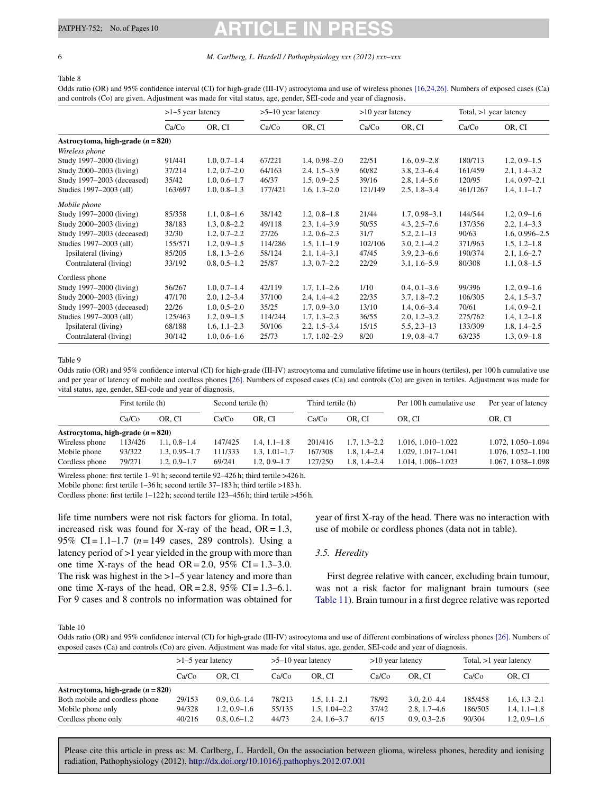<span id="page-5-0"></span>6 *M. Carlberg, L. Hardell / Pathophysiology xxx (2012) xxx–xxx*

# Table 8

Odds ratio (OR) and 95% confidence interval (CI) for high-grade (III-IV) astrocytoma and use of wireless phones [\[16,24,26\].](#page-9-0) Numbers of exposed cases (Ca) and controls (Co) are given. Adjustment was made for vital status, age, gender, SEI-code and year of diagnosis.

|                                     | $>1-5$ year latency |                  | $>5-10$ year latency |                   | $>10$ year latency |                   | Total, $>1$ year latency |                    |
|-------------------------------------|---------------------|------------------|----------------------|-------------------|--------------------|-------------------|--------------------------|--------------------|
|                                     | Ca/Co               | OR, CI           | Ca/Co                | OR, CI            | Ca/Co              | OR, CI            | Ca/Co                    | OR, CI             |
| Astrocytoma, high-grade $(n = 820)$ |                     |                  |                      |                   |                    |                   |                          |                    |
| Wireless phone                      |                     |                  |                      |                   |                    |                   |                          |                    |
| Study 1997–2000 (living)            | 91/441              | $1.0, 0.7-1.4$   | 67/221               | $1.4, 0.98 - 2.0$ | 22/51              | $1.6, 0.9 - 2.8$  | 180/713                  | $1.2, 0.9 - 1.5$   |
| Study 2000–2003 (living)            | 37/214              | $1.2, 0.7 - 2.0$ | 64/163               | $2.4, 1.5 - 3.9$  | 60/82              | $3.8, 2.3 - 6.4$  | 161/459                  | $2.1, 1.4 - 3.2$   |
| Study 1997–2003 (deceased)          | 35/42               | $1.0, 0.6 - 1.7$ | 46/37                | $1.5, 0.9 - 2.5$  | 39/16              | $2.8, 1.4 - 5.6$  | 120/95                   | $1.4, 0.97 - 2.1$  |
| Studies 1997–2003 (all)             | 163/697             | $1.0, 0.8 - 1.3$ | 177/421              | $1.6, 1.3 - 2.0$  | 121/149            | $2.5, 1.8 - 3.4$  | 461/1267                 | $1.4, 1.1 - 1.7$   |
| Mobile phone                        |                     |                  |                      |                   |                    |                   |                          |                    |
| Study 1997–2000 (living)            | 85/358              | $1.1, 0.8 - 1.6$ | 38/142               | $1.2, 0.8 - 1.8$  | 21/44              | $1.7, 0.98 - 3.1$ | 144/544                  | $1.2, 0.9 - 1.6$   |
| Study 2000–2003 (living)            | 38/183              | $1.3, 0.8 - 2.2$ | 49/118               | $2.3, 1.4 - 3.9$  | 50/55              | $4.3, 2.5 - 7.6$  | 137/356                  | $2.2, 1.4 - 3.3$   |
| Study 1997–2003 (deceased)          | 32/30               | $1.2, 0.7 - 2.2$ | 27/26                | $1.2, 0.6 - 2.3$  | 31/7               | $5.2, 2.1 - 13$   | 90/63                    | $1.6, 0.996 - 2.5$ |
| Studies 1997–2003 (all)             | 155/571             | $1.2, 0.9 - 1.5$ | 114/286              | $1.5, 1.1 - 1.9$  | 102/106            | $3.0, 2.1 - 4.2$  | 371/963                  | $1.5, 1.2 - 1.8$   |
| Ipsilateral (living)                | 85/205              | $1.8, 1.3 - 2.6$ | 58/124               | $2.1, 1.4 - 3.1$  | 47/45              | $3.9, 2.3 - 6.6$  | 190/374                  | $2.1, 1.6 - 2.7$   |
| Contralateral (living)              | 33/192              | $0.8, 0.5 - 1.2$ | 25/87                | $1.3, 0.7 - 2.2$  | 22/29              | $3.1, 1.6 - 5.9$  | 80/308                   | $1.1, 0.8 - 1.5$   |
| Cordless phone                      |                     |                  |                      |                   |                    |                   |                          |                    |
| Study 1997–2000 (living)            | 56/267              | $1.0, 0.7-1.4$   | 42/119               | $1.7, 1.1 - 2.6$  | 1/10               | $0.4, 0.1 - 3.6$  | 99/396                   | $1.2, 0.9 - 1.6$   |
| Study 2000–2003 (living)            | 47/170              | $2.0, 1.2 - 3.4$ | 37/100               | $2.4, 1.4 - 4.2$  | 22/35              | $3.7, 1.8 - 7.2$  | 106/305                  | $2.4, 1.5 - 3.7$   |
| Study 1997-2003 (deceased)          | 22/26               | $1.0, 0.5 - 2.0$ | 35/25                | $1.7, 0.9 - 3.0$  | 13/10              | $1.4, 0.6 - 3.4$  | 70/61                    | $1.4, 0.9 - 2.1$   |
| Studies 1997-2003 (all)             | 125/463             | $1.2, 0.9 - 1.5$ | 114/244              | $1.7, 1.3 - 2.3$  | 36/55              | $2.0, 1.2 - 3.2$  | 275/762                  | $1.4, 1.2 - 1.8$   |
| Ipsilateral (living)                | 68/188              | $1.6, 1.1 - 2.3$ | 50/106               | $2.2, 1.5 - 3.4$  | 15/15              | $5.5, 2.3 - 13$   | 133/309                  | $1.8, 1.4 - 2.5$   |
| Contralateral (living)              | 30/142              | $1.0, 0.6 - 1.6$ | 25/73                | $1.7, 1.02 - 2.9$ | 8/20               | $1.9, 0.8 - 4.7$  | 63/235                   | $1.3, 0.9 - 1.8$   |

### Table 9

Odds ratio (OR) and 95% confidence interval (CI) for high-grade (III-IV) astrocytoma and cumulative lifetime use in hours (tertiles), per 100 h cumulative use and per year of latency of mobile and cordless phones [\[26\].](#page-9-0) Numbers of exposed cases (Ca) and controls (Co) are given in tertiles. Adjustment was made for vital status, age, gender, SEI-code and year of diagnosis.

|                                     | First tertile (h) |                   |         | Second tertile (h) |         | Third tertile (h) | Per 100 h cumulative use | Per year of latency |  |
|-------------------------------------|-------------------|-------------------|---------|--------------------|---------|-------------------|--------------------------|---------------------|--|
| Ca/Co                               |                   | OR. CI            | Ca/Co   | OR. CI             |         | OR. CI            | OR. CI                   | OR. CI              |  |
| Astrocytoma, high-grade $(n = 820)$ |                   |                   |         |                    |         |                   |                          |                     |  |
| Wireless phone                      | 113/426           | $1.1, 0.8 - 1.4$  | 147/425 | $1.4, 1.1 - 1.8$   | 201/416 | $1.7, 1.3 - 2.2$  | 1.016, 1.010-1.022       | 1.072, 1.050-1.094  |  |
| Mobile phone                        | 93/322            | $1.3, 0.95 - 1.7$ | 111/333 | $1.3, 1.01 - 1.7$  | 167/308 | $1.8, 1.4 - 2.4$  | $1.029, 1.017 - 1.041$   | 1.076, 1.052-1.100  |  |
| Cordless phone                      | 79/271            | $1.2, 0.9-1.7$    | 69/241  | $1.2, 0.9 - 1.7$   | 127/250 | $1.8, 1.4 - 2.4$  | 1.014, 1.006-1.023       | 1.067, 1.038-1.098  |  |

Wireless phone: first tertile 1–91 h; second tertile 92–426 h; third tertile >426 h.

Mobile phone: first tertile 1–36 h; second tertile 37–183 h; third tertile >183 h.

Cordless phone: first tertile 1–122 h; second tertile 123–456 h; third tertile >456 h.

life time numbers were not risk factors for glioma. In total, increased risk was found for X-ray of the head,  $OR = 1.3$ , 95% CI = 1.1–1.7 (*n* = 149 cases, 289 controls). Using a latency period of >1 year yielded in the group with more than one time X-rays of the head  $OR = 2.0$ , 95%  $CI = 1.3-3.0$ . The risk was highest in the  $>1-5$  year latency and more than one time X-rays of the head,  $OR = 2.8$ ,  $95\%$  CI = 1.3–6.1. For 9 cases and 8 controls no information was obtained for year of first X-ray of the head. There was no interaction with use of mobile or cordless phones (data not in table).

## *3.5. Heredity*

First degree relative with cancer, excluding brain tumour, was not a risk factor for malignant brain tumours (see [Table](#page-6-0) 11). Brain tumour in a first degree relative was reported

Table 10

Odds ratio (OR) and 95% confidence interval (CI) for high-grade (III-IV) astrocytoma and use of different combinations of wireless phones [\[26\].](#page-9-0) Numbers of exposed cases (Ca) and controls (Co) are given. Adjustment was made for vital status, age, gender, SEI-code and year of diagnosis.

|                                     | $>1-5$ year latency |                  |        | $>5-10$ year latency      |       | $>10$ year latency |         | Total, $>1$ year latency |  |
|-------------------------------------|---------------------|------------------|--------|---------------------------|-------|--------------------|---------|--------------------------|--|
|                                     | Ca/Co               | Ca/Co<br>OR. CI  |        | OR. CI                    | Ca/Co | OR. CI             | Ca/Co   | OR, CI                   |  |
| Astrocytoma, high-grade $(n = 820)$ |                     |                  |        |                           |       |                    |         |                          |  |
| Both mobile and cordless phone      | 29/153              | $0.9, 0.6 - 1.4$ | 78/213 | $1.5, 1.1 - 2.1$          | 78/92 | $3.0, 2.0 - 4.4$   | 185/458 | $1.6, 1.3 - 2.1$         |  |
| Mobile phone only                   | 94/328              | $1.2, 0.9 - 1.6$ | 55/135 | $1.5, 1.04 - 2.2$         | 37/42 | $2.8, 1.7 - 4.6$   | 186/505 | $1.4, 1.1 - 1.8$         |  |
| Cordless phone only                 | 40/216              | $0.8, 0.6 - 1.2$ |        | 44/73<br>$2.4, 1.6 - 3.7$ |       | $0.9, 0.3 - 2.6$   | 90/304  | $1.2, 0.9 - 1.6$         |  |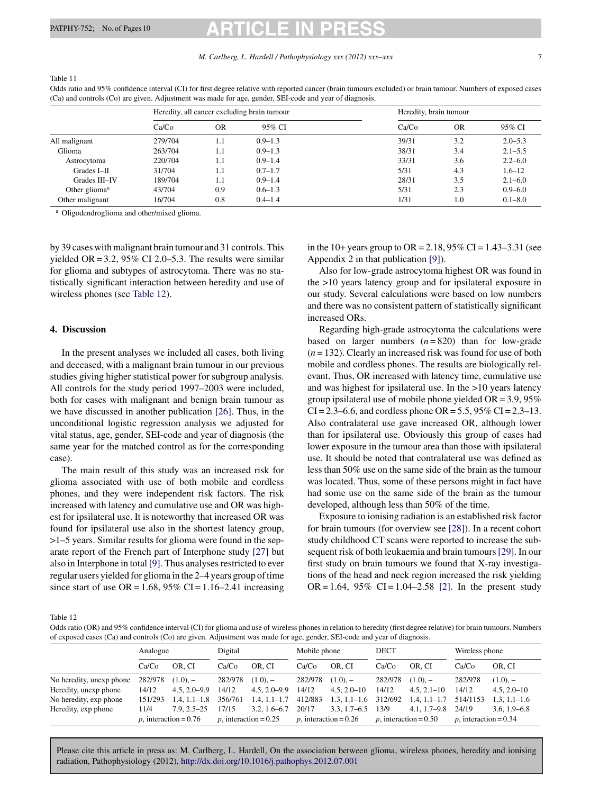|                           |         |           | Heredity, all cancer excluding brain tumour | Heredity, brain tumour |           |             |  |  |
|---------------------------|---------|-----------|---------------------------------------------|------------------------|-----------|-------------|--|--|
|                           | Ca/Co   | <b>OR</b> | 95% CI                                      | Ca/Co                  | <b>OR</b> | 95% CI      |  |  |
| All malignant             | 279/704 | 1.1       | $0.9 - 1.3$                                 | 39/31                  | 3.2       | $2.0 - 5.3$ |  |  |
| Glioma                    | 263/704 | 1.1       | $0.9 - 1.3$                                 | 38/31                  | 3.4       | $2.1 - 5.5$ |  |  |
| Astrocytoma               | 220/704 | 1.1       | $0.9 - 1.4$                                 | 33/31                  | 3.6       | $2.2 - 6.0$ |  |  |
| Grades I-II               | 31/704  | 1.1       | $0.7 - 1.7$                                 | 5/31                   | 4.3       | $1.6 - 12$  |  |  |
| Grades III-IV             | 189/704 | 1.1       | $0.9 - 1.4$                                 | 28/31                  | 3.5       | $2.1 - 6.0$ |  |  |
| Other glioma <sup>a</sup> | 43/704  | 0.9       | $0.6 - 1.3$                                 | 5/31                   | 2.3       | $0.9 - 6.0$ |  |  |
| Other malignant           | 16/704  | 0.8       | $0.4 - 1.4$                                 | 1/31                   | 1.0       | $0.1 - 8.0$ |  |  |

<span id="page-6-0"></span>Odds ratio and 95% confidence interval (CI) for first degree relative with reported cancer (brain tumours excluded) or brain tumour. Numbers of exposed cases (Ca) and controls (Co) are given. Adjustment was made for age, gender, SEI-code and year of diagnosis.

Oligodendroglioma and other/mixed glioma.

by 39 cases with malignant brain tumour and 31 controls. This yielded OR =  $3.2$ , 95% CI 2.0–5.3. The results were similar for glioma and subtypes of astrocytoma. There was no statistically significant interaction between heredity and use of wireless phones (see Table 12).

# **4. Discussion**

In the present analyses we included all cases, both living and deceased, with a malignant brain tumour in our previous studies giving higher statistical power for subgroup analysis. All controls for the study period 1997–2003 were included, both for cases with malignant and benign brain tumour as we have discussed in another publication [\[26\].](#page-9-0) Thus, in the unconditional logistic regression analysis we adjusted for vital status, age, gender, SEI-code and year of diagnosis (the same year for the matched control as for the corresponding case).

The main result of this study was an increased risk for glioma associated with use of both mobile and cordless phones, and they were independent risk factors. The risk increased with latency and cumulative use and OR was highest for ipsilateral use. It is noteworthy that increased OR was found for ipsilateral use also in the shortest latency group, >1–5 years. Similar results for glioma were found in the separate report of the French part of Interphone study [\[27\]](#page-9-0) but also in Interphone in total [\[9\].](#page-9-0) Thus analyses restricted to ever regular users yielded for glioma in the 2–4 years group of time since start of use OR =  $1.68$ , 95% CI =  $1.16-2.41$  increasing

in the 10+ years group to OR = 2.18, 95% CI = 1.43–3.31 (see Appendix 2 in that publication [\[9\]\).](#page-9-0)

Also for low-grade astrocytoma highest OR was found in the >10 years latency group and for ipsilateral exposure in our study. Several calculations were based on low numbers and there was no consistent pattern of statistically significant increased ORs.

Regarding high-grade astrocytoma the calculations were based on larger numbers  $(n = 820)$  than for low-grade (*n* = 132). Clearly an increased risk was found for use of both mobile and cordless phones. The results are biologically relevant. Thus, OR increased with latency time, cumulative use and was highest for ipsilateral use. In the >10 years latency group ipsilateral use of mobile phone yielded OR =  $3.9, 95\%$  $CI = 2.3-6.6$ , and cordless phone  $OR = 5.5$ , 95%  $CI = 2.3-13$ . Also contralateral use gave increased OR, although lower than for ipsilateral use. Obviously this group of cases had lower exposure in the tumour area than those with ipsilateral use. It should be noted that contralateral use was defined as less than 50% use on the same side of the brain as the tumour was located. Thus, some of these persons might in fact have had some use on the same side of the brain as the tumour developed, although less than 50% of the time.

Exposure to ionising radiation is an established risk factor for brain tumours (for overview see [\[28\]\).](#page-9-0) In a recent cohort study childhood CT scans were reported to increase the subsequent risk of both leukaemia and brain tumours[\[29\].](#page-9-0) In our first study on brain tumours we found that X-ray investigations of the head and neck region increased the risk yielding OR = 1.64, 95% CI =  $1.04 - 2.58$  [\[2\].](#page-8-0) In the present study

Table 12

Odds ratio (OR) and 95% confidence interval (CI) for glioma and use of wireless phones in relation to heredity (first degree relative) for brain tumours. Numbers of exposed cases (Ca) and controls (Co) are given. Adjustment was made for age, gender, SEI-code and year of diagnosis.

|                          | Analogue                        |                  | Digital                 |                  | Mobile phone            |                            | DECT                    |                  | Wireless phone                  |                  |
|--------------------------|---------------------------------|------------------|-------------------------|------------------|-------------------------|----------------------------|-------------------------|------------------|---------------------------------|------------------|
|                          | Ca/Co                           | OR. CI           | Ca/Co                   | OR. CI           | Ca/Co                   | OR. CI                     | Ca/Co                   | OR. CI           | Ca/Co                           | OR, CI           |
| No heredity, unexp phone | 282/978                         | $(1.0)$ , $-$    | 282/978                 | $(1.0)$ , $-$    | 282/978                 | $(1.0)$ , $-$              | 282/978                 | $(1.0)$ , $-$    | 282/978                         | $(1.0)$ , $-$    |
| Heredity, unexp phone    | 14/12                           | $4.5, 2.0 - 9.9$ | 14/12                   | $4.5, 2.0 - 9.9$ | 14/12                   | $4.5, 2.0 - 10$            | 14/12                   | $4.5, 2.1 - 10$  | 14/12                           | $4.5, 2.0 - 10$  |
| No heredity, exp phone   | 151/293                         | $1.4, 1.1 - 1.8$ | 356/761                 | $1.4, 1.1 - 1.7$ | 412/883                 | $1.3, 1.1 - 1.6$ $312/692$ |                         | $1.4, 1.1 - 1.7$ | 514/1153                        | $1.3, 1.1 - 1.6$ |
| Heredity, exp phone      | 11/4                            | $7.9.2.5 - 25$   | 17/15                   | $3.2, 1.6 - 6.7$ | 20/17                   | $3.3, 1.7 - 6.5$           | 13/9                    | $4.1, 1.7 - 9.8$ | 24/19                           | $3.6, 1.9 - 6.8$ |
|                          | <i>p</i> , interaction = $0.76$ |                  | p, interaction = $0.25$ |                  | p, interaction = $0.26$ |                            | p, interaction = $0.50$ |                  | <i>p</i> , interaction = $0.34$ |                  |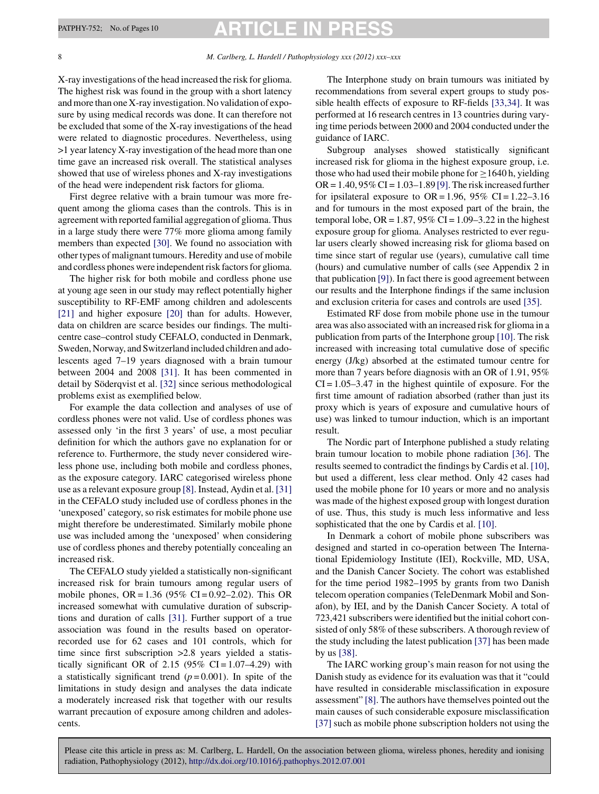# PATPHY-752; No. of Pages 10 **ARTICLE IN**

#### 8 *M. Carlberg, L. Hardell / Pathophysiology xxx (2012) xxx–xxx*

X-ray investigations of the head increased the risk for glioma. The highest risk was found in the group with a short latency and more than one X-ray investigation. No validation of exposure by using medical records was done. It can therefore not be excluded that some of the X-ray investigations of the head were related to diagnostic procedures. Nevertheless, using >1 year latency X-ray investigation of the head more than one time gave an increased risk overall. The statistical analyses showed that use of wireless phones and X-ray investigations of the head were independent risk factors for glioma.

First degree relative with a brain tumour was more frequent among the glioma cases than the controls. This is in agreement with reported familial aggregation of glioma.Thus in a large study there were 77% more glioma among family members than expected [\[30\].](#page-9-0) We found no association with other types of malignant tumours. Heredity and use of mobile and cordless phones were independent risk factors for glioma.

The higher risk for both mobile and cordless phone use at young age seen in our study may reflect potentially higher susceptibility to RF-EMF among children and adolescents [\[21\]](#page-9-0) and higher exposure [\[20\]](#page-9-0) than for adults. However, data on children are scarce besides our findings. The multicentre case–control study CEFALO, conducted in Denmark, Sweden, Norway, and Switzerland included children and adolescents aged 7–19 years diagnosed with a brain tumour between 2004 and 2008 [\[31\].](#page-9-0) It has been commented in detail by Söderqvist et al. [\[32\]](#page-9-0) since serious methodological problems exist as exemplified below.

For example the data collection and analyses of use of cordless phones were not valid. Use of cordless phones was assessed only 'in the first 3 years' of use, a most peculiar definition for which the authors gave no explanation for or reference to. Furthermore, the study never considered wireless phone use, including both mobile and cordless phones, as the exposure category. IARC categorised wireless phone use as a relevant exposure group [\[8\].](#page-9-0) Instead, Aydin et al. [\[31\]](#page-9-0) in the CEFALO study included use of cordless phones in the 'unexposed' category, so risk estimates for mobile phone use might therefore be underestimated. Similarly mobile phone use was included among the 'unexposed' when considering use of cordless phones and thereby potentially concealing an increased risk.

The CEFALO study yielded a statistically non-significant increased risk for brain tumours among regular users of mobile phones,  $OR = 1.36$  (95%  $CI = 0.92 - 2.02$ ). This OR increased somewhat with cumulative duration of subscriptions and duration of calls [\[31\].](#page-9-0) Further support of a true association was found in the results based on operatorrecorded use for 62 cases and 101 controls, which for time since first subscription >2.8 years yielded a statistically significant OR of 2.15 (95% CI =  $1.07-4.29$ ) with a statistically significant trend  $(p=0.001)$ . In spite of the limitations in study design and analyses the data indicate a moderately increased risk that together with our results warrant precaution of exposure among children and adolescents.

The Interphone study on brain tumours was initiated by recommendations from several expert groups to study possible health effects of exposure to RF-fields [\[33,34\].](#page-9-0) It was performed at 16 research centres in 13 countries during varying time periods between 2000 and 2004 conducted under the guidance of IARC.

Subgroup analyses showed statistically significant increased risk for glioma in the highest exposure group, i.e. those who had used their mobile phone for  $\geq 1640$  h, yielding OR =  $1.40, 95\%$  CI =  $1.03-1.89$  [9]. The risk increased further for ipsilateral exposure to  $OR = 1.96$ ,  $95\%$  CI = 1.22–3.16 and for tumours in the most exposed part of the brain, the temporal lobe, OR =  $1.87$ , 95% CI =  $1.09 - 3.22$  in the highest exposure group for glioma. Analyses restricted to ever regular users clearly showed increasing risk for glioma based on time since start of regular use (years), cumulative call time (hours) and cumulative number of calls (see Appendix 2 in that publication [\[9\]\).](#page-9-0) In fact there is good agreement between our results and the Interphone findings if the same inclusion and exclusion criteria for cases and controls are used [\[35\].](#page-9-0)

Estimated RF dose from mobile phone use in the tumour area was also associated with an increased risk for glioma in a publication from parts of the Interphone group [\[10\].](#page-9-0) The risk increased with increasing total cumulative dose of specific energy (J/kg) absorbed at the estimated tumour centre for more than 7 years before diagnosis with an OR of 1.91, 95%  $CI = 1.05 - 3.47$  in the highest quintile of exposure. For the first time amount of radiation absorbed (rather than just its proxy which is years of exposure and cumulative hours of use) was linked to tumour induction, which is an important result.

The Nordic part of Interphone published a study relating brain tumour location to mobile phone radiation [\[36\].](#page-9-0) The results seemed to contradict the findings by Cardis et al. [\[10\],](#page-9-0) but used a different, less clear method. Only 42 cases had used the mobile phone for 10 years or more and no analysis was made of the highest exposed group with longest duration of use. Thus, this study is much less informative and less sophisticated that the one by Cardis et al. [\[10\].](#page-9-0)

In Denmark a cohort of mobile phone subscribers was designed and started in co-operation between The International Epidemiology Institute (IEI), Rockville, MD, USA, and the Danish Cancer Society. The cohort was established for the time period 1982–1995 by grants from two Danish telecom operation companies (TeleDenmark Mobil and Sonafon), by IEI, and by the Danish Cancer Society. A total of 723,421 subscribers were identified but the initial cohort consisted of only 58% of these subscribers. A thorough review of the study including the latest publication [\[37\]](#page-9-0) has been made by us [\[38\].](#page-9-0)

The IARC working group's main reason for not using the Danish study as evidence for its evaluation was that it "could have resulted in considerable misclassification in exposure assessment" [\[8\].](#page-9-0) The authors have themselves pointed out the main causes of such considerable exposure misclassification [\[37\]](#page-9-0) such as mobile phone subscription holders not using the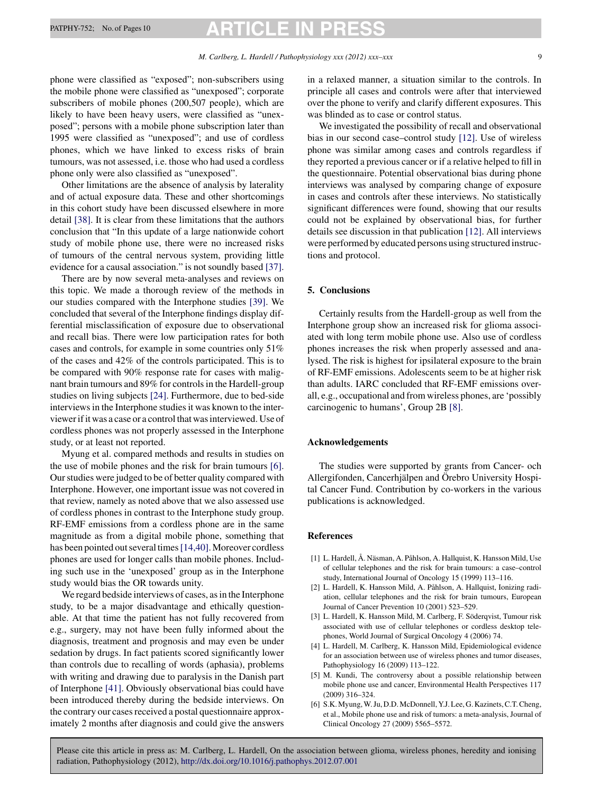# <span id="page-8-0"></span>PATPHY-752; No. of Pages 10 **ARTICLE IN**

phone were classified as "exposed"; non-subscribers using the mobile phone were classified as "unexposed"; corporate subscribers of mobile phones (200,507 people), which are likely to have been heavy users, were classified as "unexposed"; persons with a mobile phone subscription later than 1995 were classified as "unexposed"; and use of cordless phones, which we have linked to excess risks of brain tumours, was not assessed, i.e. those who had used a cordless phone only were also classified as "unexposed".

Other limitations are the absence of analysis by laterality and of actual exposure data. These and other shortcomings in this cohort study have been discussed elsewhere in more detail [\[38\].](#page-9-0) It is clear from these limitations that the authors conclusion that "In this update of a large nationwide cohort study of mobile phone use, there were no increased risks of tumours of the central nervous system, providing little evidence for a causal association." is not soundly based [\[37\].](#page-9-0)

There are by now several meta-analyses and reviews on this topic. We made a thorough review of the methods in our studies compared with the Interphone studies [\[39\].](#page-9-0) We concluded that several of the Interphone findings display differential misclassification of exposure due to observational and recall bias. There were low participation rates for both cases and controls, for example in some countries only 51% of the cases and 42% of the controls participated. This is to be compared with 90% response rate for cases with malignant brain tumours and 89% for controlsin the Hardell-group studies on living subjects [\[24\].](#page-9-0) Furthermore, due to bed-side interviews in the Interphone studies it was known to the interviewerifit was a case or a control that wasinterviewed. Use of cordless phones was not properly assessed in the Interphone study, or at least not reported.

Myung et al. compared methods and results in studies on the use of mobile phones and the risk for brain tumours [6]. Ourstudies were judged to be of better quality compared with Interphone. However, one important issue was not covered in that review, namely as noted above that we also assessed use of cordless phones in contrast to the Interphone study group. RF-EMF emissions from a cordless phone are in the same magnitude as from a digital mobile phone, something that has been pointed out several times [\[14,40\].](#page-9-0) Moreover cordless phones are used for longer calls than mobile phones. Including such use in the 'unexposed' group as in the Interphone study would bias the OR towards unity.

We regard bedside interviews of cases, as in the Interphone study, to be a major disadvantage and ethically questionable. At that time the patient has not fully recovered from e.g., surgery, may not have been fully informed about the diagnosis, treatment and prognosis and may even be under sedation by drugs. In fact patients scored significantly lower than controls due to recalling of words (aphasia), problems with writing and drawing due to paralysis in the Danish part of Interphone [\[41\].](#page-9-0) Obviously observational bias could have been introduced thereby during the bedside interviews. On the contrary our cases received a postal questionnaire approximately 2 months after diagnosis and could give the answers

in a relaxed manner, a situation similar to the controls. In principle all cases and controls were after that interviewed over the phone to verify and clarify different exposures. This was blinded as to case or control status.

We investigated the possibility of recall and observational bias in our second case–control study [\[12\].](#page-9-0) Use of wireless phone was similar among cases and controls regardless if they reported a previous cancer or if a relative helped to fill in the questionnaire. Potential observational bias during phone interviews was analysed by comparing change of exposure in cases and controls after these interviews. No statistically significant differences were found, showing that our results could not be explained by observational bias, for further details see discussion in that publication [\[12\].](#page-9-0) All interviews were performed by educated persons using structured instructions and protocol.

### **5. Conclusions**

Certainly results from the Hardell-group as well from the Interphone group show an increased risk for glioma associated with long term mobile phone use. Also use of cordless phones increases the risk when properly assessed and analysed. The risk is highest for ipsilateral exposure to the brain of RF-EMF emissions. Adolescents seem to be at higher risk than adults. IARC concluded that RF-EMF emissions overall, e.g., occupational and from wireless phones, are 'possibly carcinogenic to humans', Group 2B [\[8\].](#page-9-0)

#### **Acknowledgements**

The studies were supported by grants from Cancer- och Allergifonden, Cancerhjälpen and Örebro University Hospital Cancer Fund. Contribution by co-workers in the various publications is acknowledged.

### **References**

- [1] L. Hardell, Å. Näsman, A. Påhlson, A. Hallquist, K. Hansson Mild, Use of cellular telephones and the risk for brain tumours: a case–control study, International Journal of Oncology 15 (1999) 113–116.
- [2] L. Hardell, K. Hansson Mild, A. Påhlson, A. Hallquist, Ionizing radiation, cellular telephones and the risk for brain tumours, European Journal of Cancer Prevention 10 (2001) 523–529.
- [3] L. Hardell, K. Hansson Mild, M. Carlberg, F. Söderqvist, Tumour risk associated with use of cellular telephones or cordless desktop telephones, World Journal of Surgical Oncology 4 (2006) 74.
- [4] L. Hardell, M. Carlberg, K. Hansson Mild, Epidemiological evidence for an association between use of wireless phones and tumor diseases, Pathophysiology 16 (2009) 113–122.
- [5] M. Kundi, The controversy about a possible relationship between mobile phone use and cancer, Environmental Health Perspectives 117 (2009) 316–324.
- [6] S.K. Myung, W. Ju, D.D. McDonnell, Y.J. Lee, G. Kazinets, C.T. Cheng, et al., Mobile phone use and risk of tumors: a meta-analysis, Journal of Clinical Oncology 27 (2009) 5565–5572.